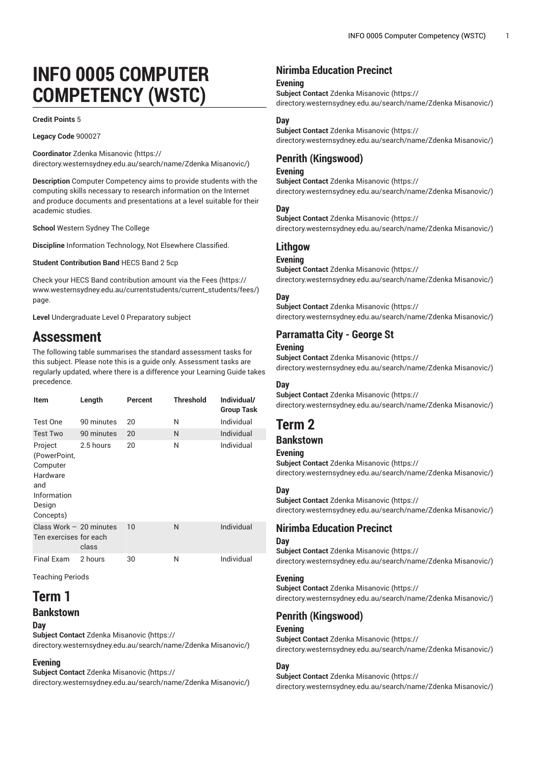# **INFO 0005 COMPUTER COMPETENCY (WSTC)**

#### **Credit Points** 5

**Legacy Code** 900027

**Coordinator** Zdenka [Misanovic \(https://](https://directory.westernsydney.edu.au/search/name/Zdenka Misanovic/) [directory.westernsydney.edu.au/search/name/Zdenka](https://directory.westernsydney.edu.au/search/name/Zdenka Misanovic/) Misanovic/)

**Description** Computer Competency aims to provide students with the computing skills necessary to research information on the Internet and produce documents and presentations at a level suitable for their academic studies.

**School** Western Sydney The College

**Discipline** Information Technology, Not Elsewhere Classified.

**Student Contribution Band** HECS Band 2 5cp

Check your HECS Band contribution amount via the [Fees \(https://](https://www.westernsydney.edu.au/currentstudents/current_students/fees/) [www.westernsydney.edu.au/currentstudents/current\\_students/fees/\)](https://www.westernsydney.edu.au/currentstudents/current_students/fees/) page.

**Level** Undergraduate Level 0 Preparatory subject

# **Assessment**

The following table summarises the standard assessment tasks for this subject. Please note this is a guide only. Assessment tasks are regularly updated, where there is a difference your Learning Guide takes precedence.

| ltem                                                                                         | Length     | Percent | <b>Threshold</b> | Individual/<br><b>Group Task</b> |
|----------------------------------------------------------------------------------------------|------------|---------|------------------|----------------------------------|
| Test One                                                                                     | 90 minutes | 20      | N                | Individual                       |
| <b>Test Two</b>                                                                              | 90 minutes | 20      | N                | Individual                       |
| Project<br>(PowerPoint,<br>Computer<br>Hardware<br>and<br>Information<br>Design<br>Concepts) | 2.5 hours  | 20      | N                | Individual                       |
| Class Work $-20$ minutes<br>Ten exercises for each                                           | class      | 10      | N                | Individual                       |
| Final Exam                                                                                   | 2 hours    | 30      | N                | Individual                       |

Teaching Periods

# **Term 1 Bankstown**

**Day**

**Subject Contact** Zdenka [Misanovic](https://directory.westernsydney.edu.au/search/name/Zdenka Misanovic/) ([https://](https://directory.westernsydney.edu.au/search/name/Zdenka Misanovic/) [directory.westernsydney.edu.au/search/name/Zdenka](https://directory.westernsydney.edu.au/search/name/Zdenka Misanovic/) Misanovic/)

#### **Evening**

**Subject Contact** Zdenka [Misanovic](https://directory.westernsydney.edu.au/search/name/Zdenka Misanovic/) ([https://](https://directory.westernsydney.edu.au/search/name/Zdenka Misanovic/) [directory.westernsydney.edu.au/search/name/Zdenka](https://directory.westernsydney.edu.au/search/name/Zdenka Misanovic/) Misanovic/)

# **Nirimba Education Precinct**

#### **Evening**

**Subject Contact** Zdenka [Misanovic](https://directory.westernsydney.edu.au/search/name/Zdenka Misanovic/) ([https://](https://directory.westernsydney.edu.au/search/name/Zdenka Misanovic/)

[directory.westernsydney.edu.au/search/name/Zdenka](https://directory.westernsydney.edu.au/search/name/Zdenka Misanovic/) Misanovic/)

#### **Day**

**Subject Contact** Zdenka [Misanovic](https://directory.westernsydney.edu.au/search/name/Zdenka Misanovic/) ([https://](https://directory.westernsydney.edu.au/search/name/Zdenka Misanovic/) [directory.westernsydney.edu.au/search/name/Zdenka](https://directory.westernsydney.edu.au/search/name/Zdenka Misanovic/) Misanovic/)

### **Penrith (Kingswood)**

#### **Evening**

**Subject Contact** Zdenka [Misanovic](https://directory.westernsydney.edu.au/search/name/Zdenka Misanovic/) ([https://](https://directory.westernsydney.edu.au/search/name/Zdenka Misanovic/) [directory.westernsydney.edu.au/search/name/Zdenka](https://directory.westernsydney.edu.au/search/name/Zdenka Misanovic/) Misanovic/)

#### **Day**

**Subject Contact** Zdenka [Misanovic](https://directory.westernsydney.edu.au/search/name/Zdenka Misanovic/) ([https://](https://directory.westernsydney.edu.au/search/name/Zdenka Misanovic/)

[directory.westernsydney.edu.au/search/name/Zdenka](https://directory.westernsydney.edu.au/search/name/Zdenka Misanovic/) Misanovic/)

#### **Lithgow**

#### **Evening**

**Subject Contact** Zdenka [Misanovic](https://directory.westernsydney.edu.au/search/name/Zdenka Misanovic/) ([https://](https://directory.westernsydney.edu.au/search/name/Zdenka Misanovic/) [directory.westernsydney.edu.au/search/name/Zdenka](https://directory.westernsydney.edu.au/search/name/Zdenka Misanovic/) Misanovic/)

#### **Day**

**Subject Contact** Zdenka [Misanovic](https://directory.westernsydney.edu.au/search/name/Zdenka Misanovic/) ([https://](https://directory.westernsydney.edu.au/search/name/Zdenka Misanovic/) [directory.westernsydney.edu.au/search/name/Zdenka](https://directory.westernsydney.edu.au/search/name/Zdenka Misanovic/) Misanovic/)

# **Parramatta City - George St**

#### **Evening**

**Subject Contact** Zdenka [Misanovic](https://directory.westernsydney.edu.au/search/name/Zdenka Misanovic/) ([https://](https://directory.westernsydney.edu.au/search/name/Zdenka Misanovic/) [directory.westernsydney.edu.au/search/name/Zdenka](https://directory.westernsydney.edu.au/search/name/Zdenka Misanovic/) Misanovic/)

#### **Day**

**Subject Contact** Zdenka [Misanovic](https://directory.westernsydney.edu.au/search/name/Zdenka Misanovic/) ([https://](https://directory.westernsydney.edu.au/search/name/Zdenka Misanovic/) [directory.westernsydney.edu.au/search/name/Zdenka](https://directory.westernsydney.edu.au/search/name/Zdenka Misanovic/) Misanovic/)

# **Term 2**

# **Bankstown**

#### **Evening**

**Subject Contact** Zdenka [Misanovic](https://directory.westernsydney.edu.au/search/name/Zdenka Misanovic/) ([https://](https://directory.westernsydney.edu.au/search/name/Zdenka Misanovic/) [directory.westernsydney.edu.au/search/name/Zdenka](https://directory.westernsydney.edu.au/search/name/Zdenka Misanovic/) Misanovic/)

#### **Day**

**Subject Contact** Zdenka [Misanovic](https://directory.westernsydney.edu.au/search/name/Zdenka Misanovic/) ([https://](https://directory.westernsydney.edu.au/search/name/Zdenka Misanovic/) [directory.westernsydney.edu.au/search/name/Zdenka](https://directory.westernsydney.edu.au/search/name/Zdenka Misanovic/) Misanovic/)

# **Nirimba Education Precinct**

#### **Day**

**Subject Contact** Zdenka [Misanovic](https://directory.westernsydney.edu.au/search/name/Zdenka Misanovic/) ([https://](https://directory.westernsydney.edu.au/search/name/Zdenka Misanovic/) [directory.westernsydney.edu.au/search/name/Zdenka](https://directory.westernsydney.edu.au/search/name/Zdenka Misanovic/) Misanovic/)

#### **Evening**

**Subject Contact** Zdenka [Misanovic](https://directory.westernsydney.edu.au/search/name/Zdenka Misanovic/) ([https://](https://directory.westernsydney.edu.au/search/name/Zdenka Misanovic/) [directory.westernsydney.edu.au/search/name/Zdenka](https://directory.westernsydney.edu.au/search/name/Zdenka Misanovic/) Misanovic/)

#### **Penrith (Kingswood)**

#### **Evening**

**Subject Contact** Zdenka [Misanovic](https://directory.westernsydney.edu.au/search/name/Zdenka Misanovic/) ([https://](https://directory.westernsydney.edu.au/search/name/Zdenka Misanovic/) [directory.westernsydney.edu.au/search/name/Zdenka](https://directory.westernsydney.edu.au/search/name/Zdenka Misanovic/) Misanovic/)

#### **Day**

**Subject Contact** Zdenka [Misanovic](https://directory.westernsydney.edu.au/search/name/Zdenka Misanovic/) ([https://](https://directory.westernsydney.edu.au/search/name/Zdenka Misanovic/) [directory.westernsydney.edu.au/search/name/Zdenka](https://directory.westernsydney.edu.au/search/name/Zdenka Misanovic/) Misanovic/)